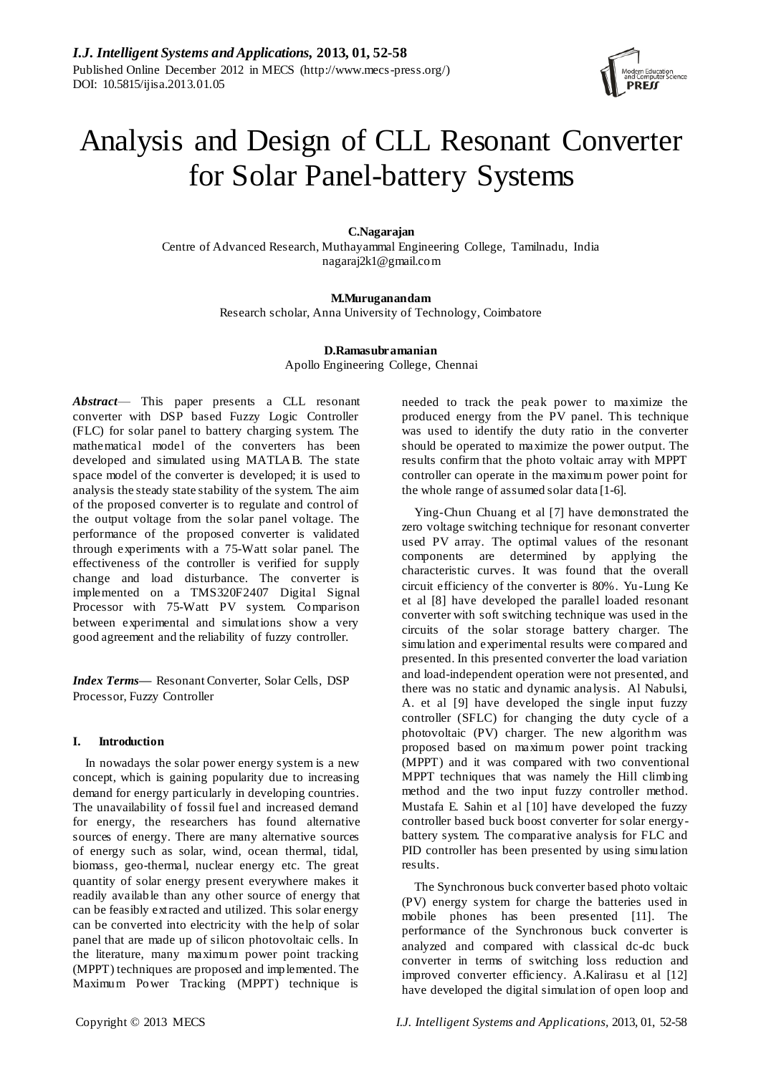

# Analysis and Design of CLL Resonant Converter for Solar Panel-battery Systems

# **C.Nagarajan**

Centre of Advanced Research, Muthayammal Engineering College, Tamilnadu, India nagaraj2k1@gmail.com

# **M.Muruganandam**

Research scholar, Anna University of Technology, Coimbatore

# **D.Ramasubramanian** Apollo Engineering College, Chennai

*Abstract*— This paper presents a CLL resonant converter with DSP based Fuzzy Logic Controller (FLC) for solar panel to battery charging system. The mathematical model of the converters has been developed and simulated using MATLAB. The state space model of the converter is developed; it is used to analysis the steady state stability of the system. The aim of the proposed converter is to regulate and control of the output voltage from the solar panel voltage. The performance of the proposed converter is validated through experiments with a 75-Watt solar panel. The effectiveness of the controller is verified for supply change and load disturbance. The converter is implemented on a TMS320F2407 Digital Signal Processor with 75-Watt PV system. Comparison between experimental and simulations show a very good agreement and the reliability of fuzzy controller.

*Index Terms***—** Resonant Converter, Solar Cells, DSP Processor, Fuzzy Controller

# **I. Introduction**

In nowadays the solar power energy system is a new concept, which is gaining popularity due to increasing demand for energy particularly in developing countries. The unavailability of fossil fuel and increased demand for energy, the researchers has found alternative sources of energy. There are many alternative sources of energy such as solar, wind, ocean thermal, tidal, biomass, geo-thermal, nuclear energy etc. The great quantity of solar energy present everywhere makes it readily available than any other source of energy that can be feasibly extracted and utilized. This solar energy can be converted into electricity with the help of solar panel that are made up of silicon photovoltaic cells. In the literature, many maximum power point tracking (MPPT) techniques are proposed and implemented. The Maximum Power Tracking (MPPT) technique is

needed to track the peak power to maximize the produced energy from the PV panel. This technique was used to identify the duty ratio in the converter should be operated to maximize the power output. The results confirm that the photo voltaic array with MPPT controller can operate in the maximum power point for the whole range of assumed solar data [1-6].

Ying-Chun Chuang et al [7] have demonstrated the zero voltage switching technique for resonant converter used PV array. The optimal values of the resonant components are determined by applying the characteristic curves. It was found that the overall circuit efficiency of the converter is 80%. [Yu-Lung Ke](http://ieeexplore.ieee.org/search/searchresult.jsp?searchWithin=p_Authors:.QT.Yu-Lung%20Ke.QT.&newsearch=partialPref)  et al [8] have developed the parallel loaded resonant converter with soft switching technique was used in the circuits of the solar storage battery charger. The simulation and experimental results were compared and presented. In this presented converter the load variation and load-independent operation were not presented, and there was no static and dynamic analysis. Al Nabulsi, A. et al [9] have developed the single input fuzzy controller (SFLC) for changing the duty cycle of a photovoltaic (PV) charger. The new algorithm was proposed based on maximum power point tracking (MPPT) and it was compared with two conventional MPPT techniques that was namely the Hill climbing method and the two input fuzzy controller method. Mustafa E. Sahin et al [10] have developed the fuzzy controller based buck boost converter for solar energybattery system. The comparative analysis for FLC and PID controller has been presented by using simulation results.

The Synchronous buck converter based photo voltaic (PV) energy system for charge the batteries used in mobile phones has been presented [11]. The performance of the Synchronous buck converter is analyzed and compared with classical dc-dc buck converter in terms of switching loss reduction and improved converter efficiency. A.Kalirasu et al [12] have developed the digital simulation of open loop and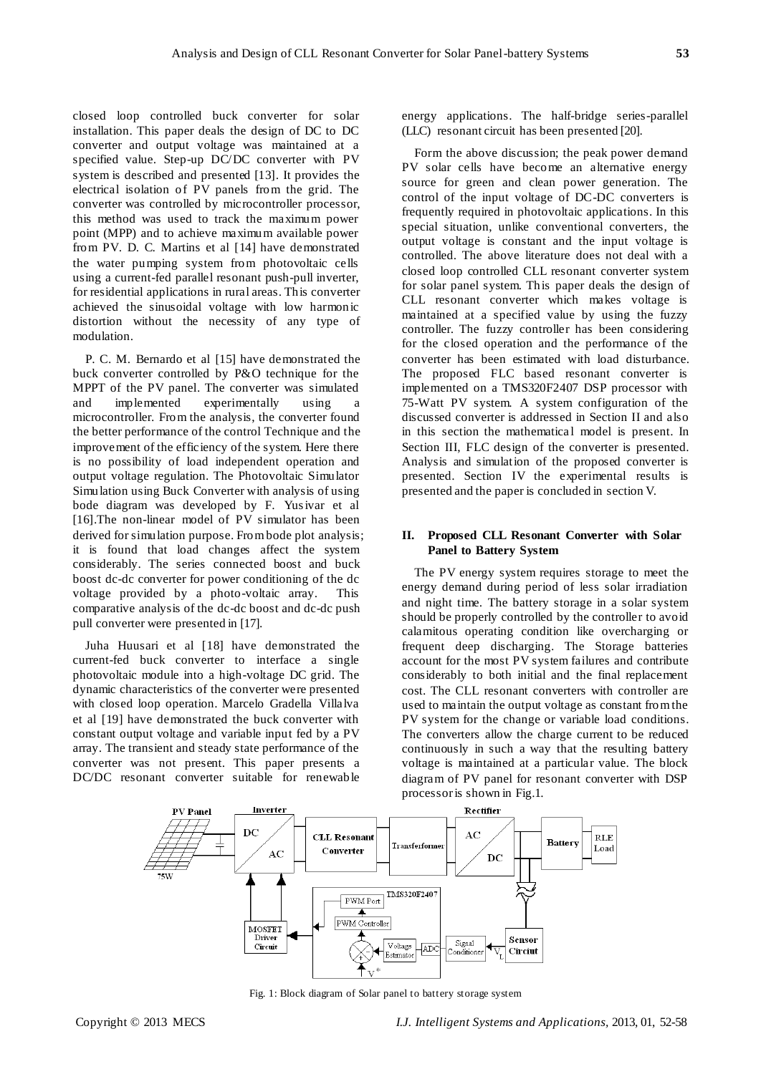closed loop controlled buck converter for solar installation. This paper deals the design of DC to DC converter and output voltage was maintained at a specified value. Step-up DC/DC converter with PV system is described and presented [13]. It provides the electrical isolation of PV panels from the grid. The converter was controlled by microcontroller processor, this method was used to track the maximum power point (MPP) and to achieve maximum available power from PV. D. C. Martins et al [14] have demonstrated the water pumping system from photovoltaic cells using a current-fed parallel resonant push-pull inverter, for residential applications in rural areas. This converter achieved the sinusoidal voltage with low harmonic distortion without the necessity of any type of modulation.

P. C. M. Bernardo et al [15] have demonstrated the buck converter controlled by P&O technique for the MPPT of the PV panel. The converter was simulated and implemented experimentally using a microcontroller. From the analysis, the converter found the better performance of the control Technique and the improvement of the efficiency of the system. Here there is no possibility of load independent operation and output voltage regulation. The Photovoltaic Simulator Simulation using Buck Converter with analysis of using bode diagram was developed by F. Yusivar et al [16].The non-linear model of PV simulator has been derived for simulation purpose. From bode plot analysis; it is found that load changes affect the system considerably. The series connected boost and buck boost dc-dc converter for power conditioning of the dc voltage provided by a photo-voltaic array. This comparative analysis of the dc-dc boost and dc-dc push pull converter were presented in [17].

Juha Huusari et al [18] have demonstrated the current-fed buck converter to interface a single photovoltaic module into a high-voltage DC grid. The dynamic characteristics of the converter were presented with closed loop operation. Marcelo Gradella Villalva et al [19] have demonstrated the buck converter with constant output voltage and variable input fed by a PV array. The transient and steady state performance of the converter was not present. This paper presents a DC/DC resonant converter suitable for renewable

energy applications. The half-bridge series-parallel (LLC) resonant circuit has been presented [20].

Form the above discussion; the peak power demand PV solar cells have become an alternative energy source for green and clean power generation. The control of the input voltage of DC-DC converters is frequently required in photovoltaic applications. In this special situation, unlike conventional converters, the output voltage is constant and the input voltage is controlled. The above literature does not deal with a closed loop controlled CLL resonant converter system for solar panel system. This paper deals the design of CLL resonant converter which makes voltage is maintained at a specified value by using the fuzzy controller. The fuzzy controller has been considering for the closed operation and the performance of the converter has been estimated with load disturbance. The proposed FLC based resonant converter is implemented on a TMS320F2407 DSP processor with 75-Watt PV system. A system configuration of the discussed converter is addressed in Section II and also in this section the mathematical model is present. In Section III, FLC design of the converter is presented. Analysis and simulation of the proposed converter is presented. Section IV the experimental results is presented and the paper is concluded in section V.

# **II. Proposed CLL Resonant Converter with Solar Panel to Battery System**

The PV energy system requires storage to meet the energy demand during period of less solar irradiation and night time. The battery storage in a solar system should be properly controlled by the controller to avoid calamitous operating condition like overcharging or frequent deep discharging. The Storage batteries account for the most PV system failures and contribute considerably to both initial and the final replacement cost. The CLL resonant converters with controller are used to maintain the output voltage as constant from the PV system for the change or variable load conditions. The converters allow the charge current to be reduced continuously in such a way that the resulting battery voltage is maintained at a particular value. The block diagram of PV panel for resonant converter with DSP processor is shown in Fig.1.



Fig. 1: Block diagram of Solar panel to battery storage system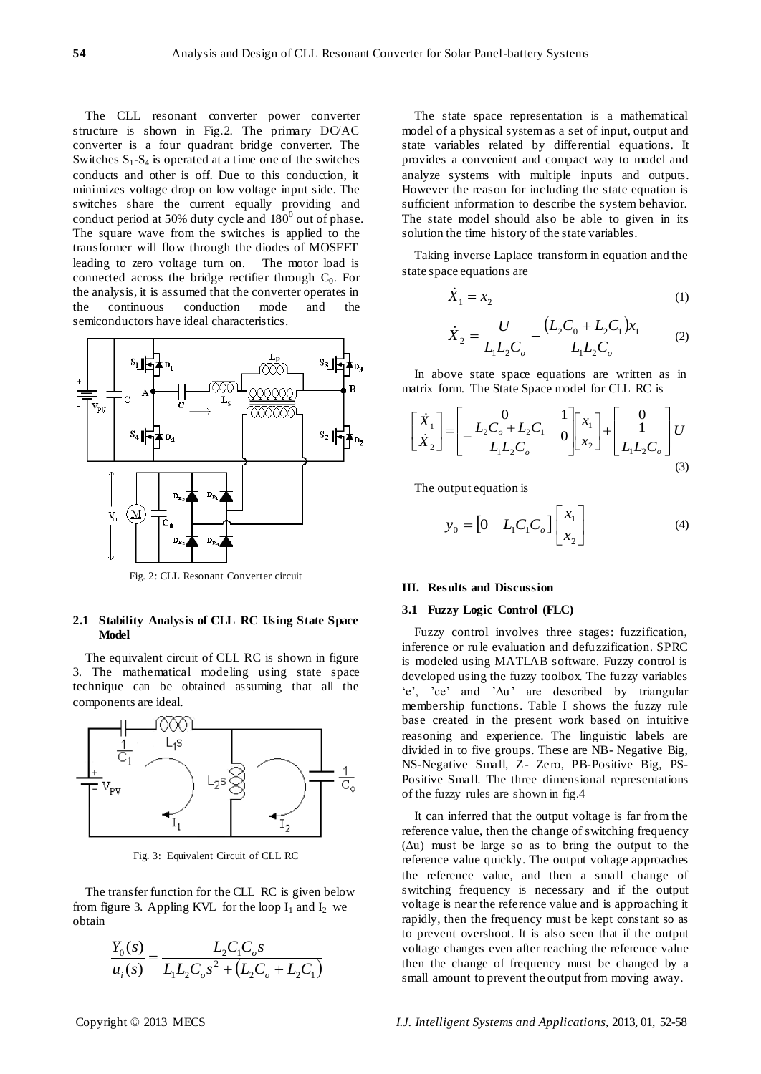The CLL resonant converter power converter structure is shown in Fig.2. The primary DC/AC converter is a four quadrant bridge converter. The Switches  $S_1-S_4$  is operated at a time one of the switches conducts and other is off. Due to this conduction, it minimizes voltage drop on low voltage input side. The switches share the current equally providing and conduct period at 50% duty cycle and  $180^0$  out of phase. The square wave from the switches is applied to the transformer will flow through the diodes of MOSFET leading to zero voltage turn on. The motor load is connected across the bridge rectifier through  $C_0$ . For the analysis, it is assumed that the converter operates in the continuous conduction mode and the semiconductors have ideal characteristics.



Fig. 2: CLL Resonant Converter circuit

#### **2.1 Stability Analysis of CLL RC Using State Space Model**

The equivalent circuit of CLL RC is shown in figure 3. The mathematical modeling using state space technique can be obtained assuming that all the components are ideal.



Fig. 3: Equivalent Circuit of CLL RC

The transfer function for the CLL RC is given below from figure 3. Appling KVL for the loop  $I_1$  and  $I_2$  we obtain

$$
\frac{Y_0(s)}{u_i(s)} = \frac{L_2 C_1 C_0 s}{L_1 L_2 C_0 s^2 + (L_2 C_0 + L_2 C_1)}
$$

The state space representation is a mathematical model of a physical system as a set of input, output and state variables related by differential equations. It provides a convenient and compact way to model and analyze systems with multiple inputs and outputs. However the reason for including the state equation is sufficient information to describe the system behavior. The state model should also be able to given in its solution the time history of the state variables.

Taking inverse Laplace transform in equation and the state space equations are

$$
\dot{X}_1 = x_2 \tag{1}
$$

$$
\dot{X}_2 = \frac{U}{L_1 L_2 C_o} - \frac{(L_2 C_0 + L_2 C_1) x_1}{L_1 L_2 C_o} \tag{2}
$$

In above state space equations are written as in matrix form. The State Space model for CLL RC is

$$
\begin{bmatrix} \dot{X}_1 \\ \dot{X}_2 \end{bmatrix} = \begin{bmatrix} 0 & 1 \\ -\frac{L_2 C_o + L_2 C_1}{L_1 L_2 C_o} & 0 \end{bmatrix} \begin{bmatrix} x_1 \\ x_2 \end{bmatrix} + \begin{bmatrix} 0 \\ 1 \\ L_1 L_2 C_o \end{bmatrix} U
$$
\n(3)

The output equation is

$$
y_0 = \begin{bmatrix} 0 & L_1 C_1 C_o \end{bmatrix} \begin{bmatrix} x_1 \\ x_2 \end{bmatrix}
$$
 (4)

# **III. Results and Discussion**

#### **3.1 Fuzzy Logic Control (FLC)**

Fuzzy control involves three stages: fuzzification, inference or ru le evaluation and defuzzification. SPRC is modeled using MATLAB software. Fuzzy control is developed using the fuzzy toolbox. The fuzzy variables 'e', 'ce' and 'Δu' are described by triangular membership functions. Table I shows the fuzzy rule base created in the present work based on intuitive reasoning and experience. The linguistic labels are divided in to five groups. These are NB- Negative Big, NS-Negative Small, Z- Zero, PB-Positive Big, PS-Positive Small. The three dimensional representations of the fuzzy rules are shown in fig.4

It can inferred that the output voltage is far from the reference value, then the change of switching frequency  $(\Delta u)$  must be large so as to bring the output to the reference value quickly. The output voltage approaches the reference value, and then a small change of switching frequency is necessary and if the output voltage is near the reference value and is approaching it rapidly, then the frequency must be kept constant so as to prevent overshoot. It is also seen that if the output voltage changes even after reaching the reference value then the change of frequency must be changed by a small amount to prevent the output from moving away.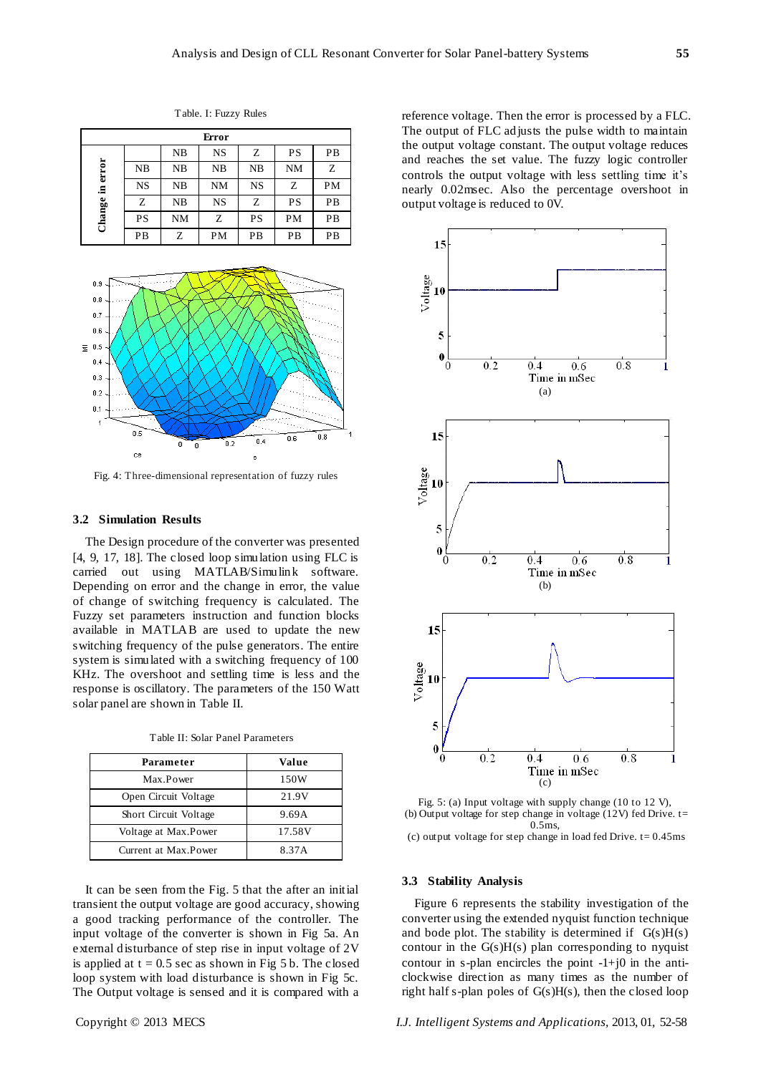| Error                 |           |           |           |           |           |           |  |
|-----------------------|-----------|-----------|-----------|-----------|-----------|-----------|--|
| error<br>.크<br>Change |           | NB        | <b>NS</b> | Z         | <b>PS</b> | PB        |  |
|                       | NB        | NB        | NB        | NB        | <b>NM</b> | Z         |  |
|                       | <b>NS</b> | NB        | <b>NM</b> | <b>NS</b> | Ζ         | <b>PM</b> |  |
|                       | Z         | NB        | <b>NS</b> | Z         | <b>PS</b> | PB        |  |
|                       | PS        | <b>NM</b> | Z         | PS        | <b>PM</b> | PB        |  |
|                       | PB        | Ζ         | PM        | PB        | PB        | PB        |  |

Table. I: Fuzzy Rules



Fig. 4: Three-dimensional representation of fuzzy rules

# **3.2 Simulation Results**

The Design procedure of the converter was presented [4, 9, 17, 18]. The closed loop simulation using FLC is carried out using MATLAB/Simulink software. Depending on error and the change in error, the value of change of switching frequency is calculated. The Fuzzy set parameters instruction and function blocks available in MATLAB are used to update the new switching frequency of the pulse generators. The entire system is simulated with a switching frequency of 100 KHz. The overshoot and settling time is less and the response is oscillatory. The parameters of the 150 Watt solar panel are shown in Table II.

| Parameter             | Value  |
|-----------------------|--------|
| Max.Power             | 150W   |
| Open Circuit Voltage  | 21.9V  |
| Short Circuit Voltage | 9.69A  |
| Voltage at Max.Power  | 17.58V |
| Current at Max Power  | 8.37A  |

It can be seen from the Fig. 5 that the after an initial transient the output voltage are good accuracy, showing a good tracking performance of the controller. The input voltage of the converter is shown in Fig 5a. An external disturbance of step rise in input voltage of 2V is applied at  $t = 0.5$  sec as shown in Fig 5 b. The closed loop system with load disturbance is shown in Fig 5c. The Output voltage is sensed and it is compared with a reference voltage. Then the error is processed by a FLC. The output of FLC adjusts the pulse width to maintain the output voltage constant. The output voltage reduces and reaches the set value. The fuzzy logic controller controls the output voltage with less settling time it's nearly 0.02msec. Also the percentage overshoot in output voltage is reduced to 0V.



Fig. 5: (a) Input voltage with supply change (10 to 12 V), (b) Output voltage for step change in voltage (12V) fed Drive. t= 0.5ms,

(c) output voltage for step change in load fed Drive.  $t = 0.45$ ms

#### **3.3 Stability Analysis**

Figure 6 represents the stability investigation of the converter using the extended nyquist function technique and bode plot. The stability is determined if  $G(s)H(s)$ contour in the  $G(s)H(s)$  plan corresponding to nyquist contour in s-plan encircles the point  $-1+j0$  in the anticlockwise direction as many times as the number of right half s-plan poles of G(s)H(s), then the closed loop

Copyright © 2013 MECS *I.J. Intelligent Systems and Applications,* 2013, 01, 52-58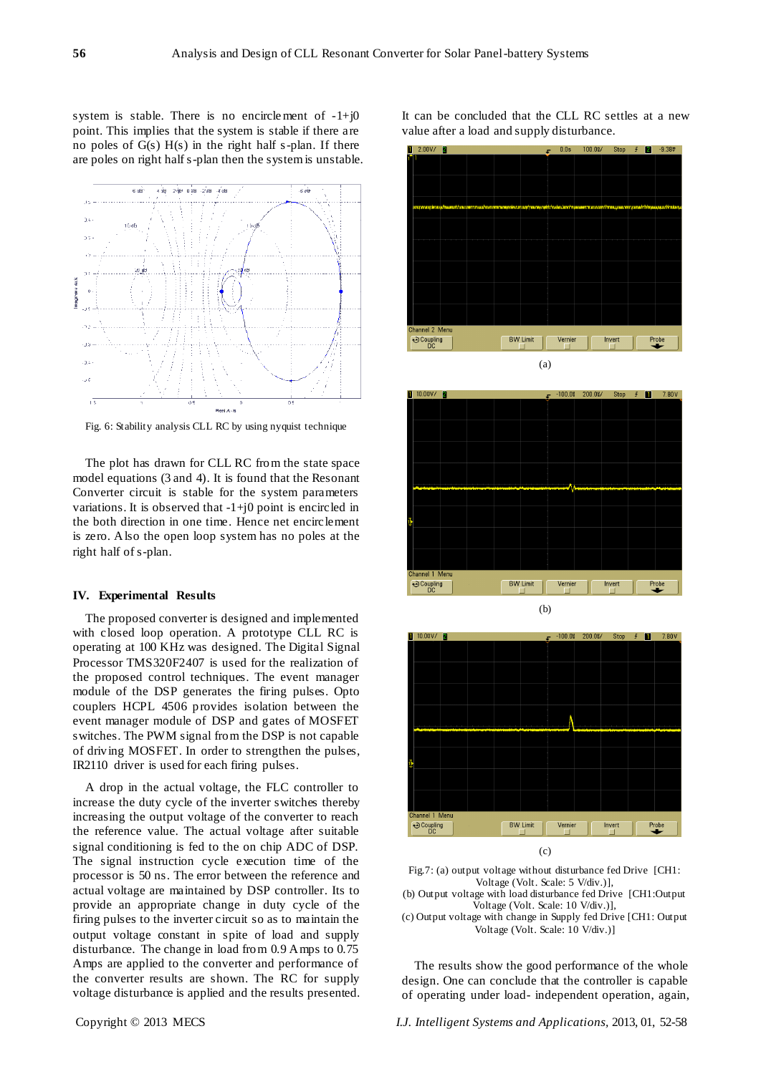system is stable. There is no encirclement of  $-1+j0$ point. This implies that the system is stable if there are no poles of  $G(s)$   $H(s)$  in the right half s-plan. If there are poles on right half s-plan then the system is unstable.



Fig. 6: Stability analysis CLL RC by using nyquist technique

The plot has drawn for CLL RC from the state space model equations (3 and 4). It is found that the Resonant Converter circuit is stable for the system parameters variations. It is observed that  $-1+i0$  point is encircled in the both direction in one time. Hence net encirclement is zero. Also the open loop system has no poles at the right half of s-plan.

#### **IV. Experimental Results**

The proposed converter is designed and implemented with closed loop operation. A prototype CLL RC is operating at 100 KHz was designed. The Digital Signal Processor TMS320F2407 is used for the realization of the proposed control techniques. The event manager module of the DSP generates the firing pulses. Opto couplers HCPL 4506 provides isolation between the event manager module of DSP and gates of MOSFET switches. The PWM signal from the DSP is not capable of driving MOSFET. In order to strengthen the pulses, IR2110 driver is used for each firing pulses.

A drop in the actual voltage, the FLC controller to increase the duty cycle of the inverter switches thereby increasing the output voltage of the converter to reach the reference value. The actual voltage after suitable signal conditioning is fed to the on chip ADC of DSP. The signal instruction cycle execution time of the processor is 50 ns. The error between the reference and actual voltage are maintained by DSP controller. Its to provide an appropriate change in duty cycle of the firing pulses to the inverter circuit so as to maintain the output voltage constant in spite of load and supply disturbance. The change in load from 0.9 Amps to 0.75 Amps are applied to the converter and performance of the converter results are shown. The RC for supply voltage disturbance is applied and the results presented. It can be concluded that the CLL RC settles at a new value after a load and supply disturbance.







Fig.7: (a) output voltage without disturbance fed Drive [CH1: Voltage (Volt. Scale: 5 V/div.)],

(b) Output voltage with load disturbance fed Drive [CH1:Output Voltage (Volt. Scale: 10 V/div.)],

(c) Output voltage with change in Supply fed Drive [CH1: Output Voltage (Volt. Scale: 10 V/div.)]

The results show the good performance of the whole design. One can conclude that the controller is capable of operating under load- independent operation, again,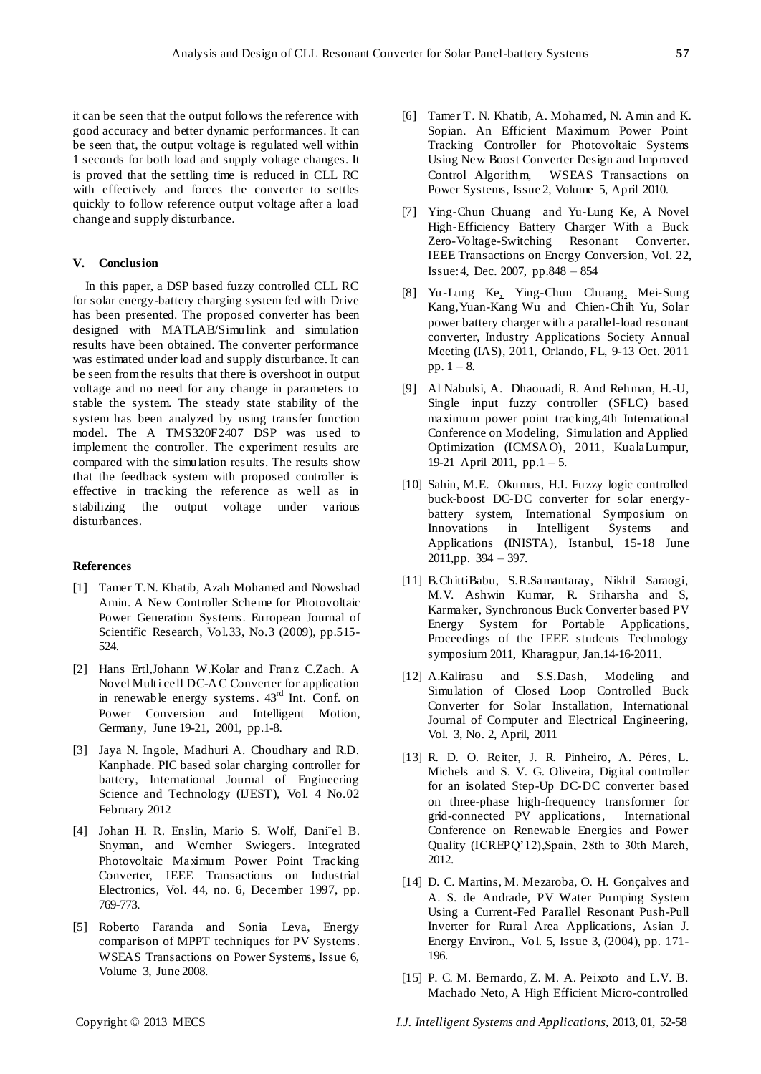it can be seen that the output follows the reference with good accuracy and better dynamic performances. It can be seen that, the output voltage is regulated well within 1 seconds for both load and supply voltage changes. It is proved that the settling time is reduced in CLL RC with effectively and forces the converter to settles quickly to follow reference output voltage after a load change and supply disturbance.

# **V. Conclusion**

In this paper, a DSP based fuzzy controlled CLL RC for solar energy-battery charging system fed with Drive has been presented. The proposed converter has been designed with MATLAB/Simulink and simulation results have been obtained. The converter performance was estimated under load and supply disturbance. It can be seen from the results that there is overshoot in output voltage and no need for any change in parameters to stable the system. The steady state stability of the system has been analyzed by using transfer function model. The A TMS320F2407 DSP was used to implement the controller. The experiment results are compared with the simulation results. The results show that the feedback system with proposed controller is effective in tracking the reference as well as in stabilizing the output voltage under various disturbances.

#### **References**

- [1] Tamer T.N. Khatib, Azah Mohamed and Nowshad Amin. A New Controller Scheme for Photovoltaic Power Generation Systems. European Journal of Scientific Research, Vol.33, No.3 (2009), pp.515- 524.
- [2] Hans Ertl,Johann W.Kolar and Franz C.Zach. A Novel Multi cell DC-AC Converter for application in renewable energy systems.  $43<sup>rd</sup>$  Int. Conf. on Power Conversion and Intelligent Motion, Germany, June 19-21, 2001, pp.1-8.
- [3] Jaya N. Ingole, Madhuri A. Choudhary and R.D. Kanphade. PIC based solar charging controller for battery, International Journal of Engineering Science and Technology (IJEST), Vol. 4 No.02 February 2012
- [4] Johan H. R. Enslin, Mario S. Wolf, Daniël B. Snyman, and Wernher Swiegers. Integrated Photovoltaic Maximum Power Point Tracking Converter, IEEE Transactions on Industrial Electronics, Vol. 44, no. 6, December 1997, pp. 769-773.
- [5] Roberto Faranda and Sonia Leva, Energy comparison of MPPT techniques for PV Systems. WSEAS Transactions on Power Systems, Issue 6, Volume 3, June 2008.
- [6] Tamer T. N. Khatib, A. Mohamed, N. Amin and K. Sopian. An Efficient Maximum Power Point Tracking Controller for Photovoltaic Systems Using New Boost Converter Design and Improved Control Algorithm, WSEAS Transactions on Power Systems, Issue 2, Volume 5, April 2010.
- [7] [Ying-Chun Chuang](http://ieeexplore.ieee.org/search/searchresult.jsp?searchWithin=p_Authors:.QT.Ying-Chun%20Chuang.QT.&newsearch=partialPref) and [Yu-Lung Ke,](http://ieeexplore.ieee.org/search/searchresult.jsp?searchWithin=p_Authors:.QT.Yu-Lung%20Ke.QT.&newsearch=partialPref) A Novel High-Efficiency Battery Charger With a Buck Zero-Voltage-Switching Resonant Converte[r.](http://ieeexplore.ieee.org/xpl/RecentIssue.jsp?punumber=60) [IEEE Transactions on](http://ieeexplore.ieee.org/xpl/RecentIssue.jsp?punumber=60) Energy Conversion, Vol. 22, Issue: 4, Dec. 2007, pp.848 – 854
- [8] [Yu-Lung Ke,](http://ieeexplore.ieee.org/search/searchresult.jsp?searchWithin=p_Authors:.QT.Yu-Lung%20Ke.QT.&newsearch=partialPref) [Ying-Chun Chuang,](http://ieeexplore.ieee.org/search/searchresult.jsp?searchWithin=p_Authors:.QT.Ying-Chun%20Chuang.QT.&newsearch=partialPref) [Mei-Sung](http://ieeexplore.ieee.org/search/searchresult.jsp?searchWithin=p_Authors:.QT.Mei-Sung%20Kang.QT.&newsearch=partialPref)  [Kang,](http://ieeexplore.ieee.org/search/searchresult.jsp?searchWithin=p_Authors:.QT.Mei-Sung%20Kang.QT.&newsearch=partialPref)[Yuan-Kang Wu](http://ieeexplore.ieee.org/search/searchresult.jsp?searchWithin=p_Authors:.QT.Yuan-Kang%20Wu.QT.&newsearch=partialPref) and Chien-Chih Yu, Solar power battery charger with a parallel-load resonant converter, [Industry Applications Society Annual](http://ieeexplore.ieee.org/xpl/mostRecentIssue.jsp?punumber=6064644)  [Meeting \(IAS\), 2011, O](http://ieeexplore.ieee.org/xpl/mostRecentIssue.jsp?punumber=6064644)rlando, FL, 9-13 Oct. 2011 pp.  $1 - 8$ .
- [9] [Al Nabulsi, A.](http://ieeexplore.ieee.org/search/searchresult.jsp?searchWithin=p_Authors:.QT.Al%20Nabulsi,%20A..QT.&newsearch=partialPref) [Dhaouadi, R. A](http://ieeexplore.ieee.org/search/searchresult.jsp?searchWithin=p_Authors:.QT.Dhaouadi,%20R..QT.&newsearch=partialPref)nd [Rehman, H.-U,](http://ieeexplore.ieee.org/search/searchresult.jsp?searchWithin=p_Authors:.QT.Rehman,%20H.-U..QT.&newsearch=partialPref) Single input fuzzy controller (SFLC) based maximum power point tracking[,4th International](http://ieeexplore.ieee.org/xpl/mostRecentIssue.jsp?punumber=5771302)  [Conference on](http://ieeexplore.ieee.org/xpl/mostRecentIssue.jsp?punumber=5771302) [Modeling, Simulation and Applied](http://ieeexplore.ieee.org/xpl/mostRecentIssue.jsp?punumber=5771302)  [Optimization \(ICMSAO\), 2011,](http://ieeexplore.ieee.org/xpl/mostRecentIssue.jsp?punumber=5771302) KualaLumpur, 19-21 April 2011, pp.1 – 5.
- [10] [Sahin, M.E.](http://ieeexplore.ieee.org/search/searchresult.jsp?searchWithin=p_Authors:.QT.Sahin,%20M.E..QT.&newsearch=partialPref) [Okumus, H.I.](http://ieeexplore.ieee.org/search/searchresult.jsp?searchWithin=p_Authors:.QT.Okumus,%20H.I..QT.&newsearch=partialPref) Fuzzy logic controlled buck-boost DC-DC converter for solar energybattery system, [International Symposium on](http://ieeexplore.ieee.org/xpl/mostRecentIssue.jsp?punumber=5935581) Innovations in Intelligent Systems and Applications (INISTA), Istanbul, 15-18 June 2011,pp. 394 – 397.
- [11] B.ChittiBabu, S.R.Samantaray, Nikhil Saraogi, M.V. Ashwin Kumar, R. Sriharsha and S, Karmaker, Synchronous Buck Converter based PV Energy System for Portable Applications, Proceedings of the IEEE students Technology symposium 2011, Kharagpur, Jan.14-16-2011.
- [12] A.Kalirasu and S.S.Dash, Modeling and Simulation of Closed Loop Controlled Buck Converter for Solar Installation, International Journal of Computer and Electrical Engineering, Vol. 3, No. 2, April, 2011
- [13] R. D. O. Reiter, J. R. Pinheiro, A. Péres, L. Michels and S. V. G. Oliveira, Digital controller for an isolated Step-Up DC-DC converter based on three-phase high-frequency transformer for grid-connected PV applications, International Conference on Renewable Energies and Power Quality (ICREPQ'12),Spain, 28th to 30th March, 2012.
- [14] D. C. Martins, M. Mezaroba, O. H. Gonçalves and A. S. de Andrade, PV Water Pumping System Using a Current-Fed Parallel Resonant Push-Pull Inverter for Rural Area Applications, Asian J. Energy Environ., Vol. 5, Issue 3, (2004), pp. 171- 196.
- [15] P. C. M. Bernardo, Z. M. A. Peixoto and L.V. B. Machado Neto, A High Efficient Micro-controlled